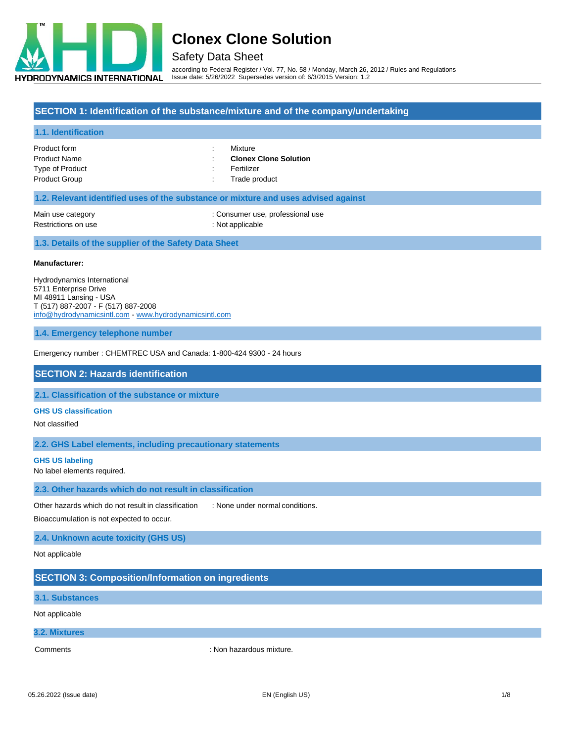

### Safety Data Sheet

according to Federal Register / Vol. 77, No. 58 / Monday, March 26, 2012 / Rules and Regulations Issue date: 5/26/2022 Supersedes version of: 6/3/2015 Version: 1.2

#### **SECTION 1: Identification of the substance/mixture and of the company/undertaking**

#### **1.1. Identification**

Product form **: Mixture** Product Name : **Clonex Clone Solution** Type of Product and Type of Product and Type of Product and Type of Product and Type of Product and Type of Product and Type of Product and Type of Product and Type of Product and Type of Product and Type of Product and Ty Product Group **in the case of the Cross Contract Cross** Cross Cross Cross Cross Cross Cross Cross Cross Cross Cross Cross Cross Cross Cross Cross Cross Cross Cross Cross Cross Cross Cross Cross Cross Cross Cross Cross Cros

- 
- 

#### **1.2. Relevant identified uses of the substance or mixture and uses advised against**

Main use category **in the category** : Consumer use, professional use

Restrictions on use : Not applicable : Not applicable

#### **1.3. Details of the supplier of the Safety Data Sheet**

#### **Manufacturer:**

Hydrodynamics International 5711 Enterprise Drive MI 48911 Lansing - USA T (517) 887-2007 - F (517) 887-2008 [info@hydrodynamicsintl.com](mailto:info@hydrodynamicsintl.com) - [www.hydrodynamicsintl.com](http://www.hydrodynamicsintl.com/)

#### **1.4. Emergency telephone number**

Emergency number : CHEMTREC USA and Canada: 1-800-424 9300 - 24 hours

#### **SECTION 2: Hazards identification**

**2.1. Classification of the substance or mixture**

#### **GHS US classification**

Not classified

#### **2.2. GHS Label elements, including precautionary statements**

#### **GHS US labeling**

No label elements required.

#### **2.3. Other hazards which do not result in classification**

Other hazards which do not result in classification : None under normal conditions.

Bioaccumulation is not expected to occur.

#### **2.4. Unknown acute toxicity (GHS US)**

Not applicable

#### **SECTION 3: Composition/Information on ingredients**

**3.1. Substances**

#### Not applicable

#### **3.2. Mixtures**

Comments : Non hazardous mixture.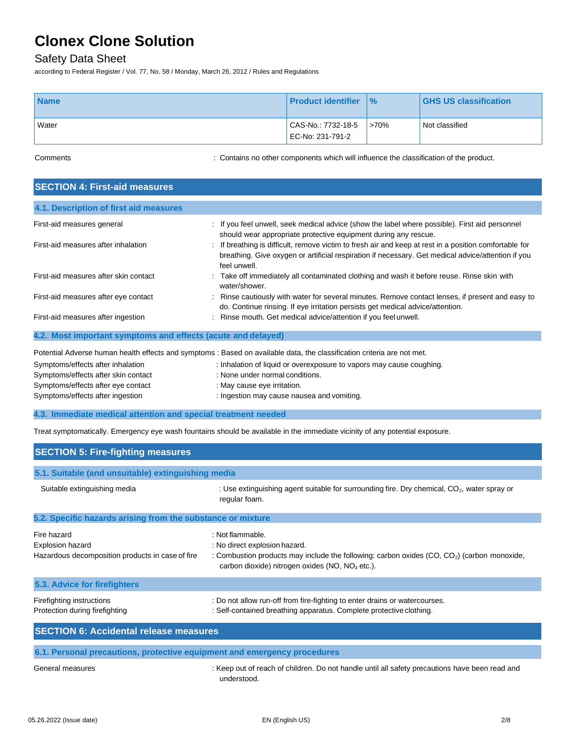### Safety Data Sheet

according to Federal Register / Vol. 77, No. 58 / Monday, March 26, 2012 / Rules and Regulations

| <b>Name</b> | <b>Product identifier</b>              | $\frac{9}{6}$ | <b>GHS US classification</b> |
|-------------|----------------------------------------|---------------|------------------------------|
| Water       | CAS-No.: 7732-18-5<br>EC-No: 231-791-2 | $>70\%$       | Not classified               |

Comments : Contains no other components which will influence the classification of the product.

| <b>SECTION 4: First-aid measures</b>                         |                                                                                                                                                                                                                            |  |
|--------------------------------------------------------------|----------------------------------------------------------------------------------------------------------------------------------------------------------------------------------------------------------------------------|--|
| 4.1. Description of first aid measures                       |                                                                                                                                                                                                                            |  |
| First-aid measures general                                   | : If you feel unwell, seek medical advice (show the label where possible). First aid personnel<br>should wear appropriate protective equipment during any rescue.                                                          |  |
| First-aid measures after inhalation                          | If breathing is difficult, remove victim to fresh air and keep at rest in a position comfortable for<br>breathing. Give oxygen or artificial respiration if necessary. Get medical advice/attention if you<br>feel unwell. |  |
| First-aid measures after skin contact                        | : Take off immediately all contaminated clothing and wash it before reuse. Rinse skin with<br>water/shower.                                                                                                                |  |
| First-aid measures after eye contact                         | Rinse cautiously with water for several minutes. Remove contact lenses, if present and easy to<br>do. Continue rinsing. If eye irritation persists get medical advice/attention.                                           |  |
| First-aid measures after ingestion                           | Rinse mouth. Get medical advice/attention if you feel unwell.                                                                                                                                                              |  |
| 4.2. Most important symptoms and effects (acute and delayed) |                                                                                                                                                                                                                            |  |
|                                                              | Potential Adverse human health effects and symptoms : Based on available data, the classification criteria are not met.                                                                                                    |  |
| Symptoms/effects after inhalation                            | : Inhalation of liquid or overexposure to vapors may cause coughing.                                                                                                                                                       |  |
| Symptoms/effects after skin contact                          | : None under normal conditions.                                                                                                                                                                                            |  |

**4.3. Immediate medical attention and special treatment needed**

Symptoms/effects after eye contact : May cause eye irritation.

Symptoms/effects after ingestion  $\qquad \qquad$ : Ingestion may cause nausea and vomiting.

Treat symptomatically. Emergency eye wash fountains should be available in the immediate vicinity of any potential exposure.

| <b>SECTION 5: Fire-fighting measures</b>                                                   |                                                                                                                                                                                                            |  |
|--------------------------------------------------------------------------------------------|------------------------------------------------------------------------------------------------------------------------------------------------------------------------------------------------------------|--|
| 5.1. Suitable (and unsuitable) extinguishing media                                         |                                                                                                                                                                                                            |  |
| Suitable extinguishing media                                                               | : Use extinguishing agent suitable for surrounding fire. Dry chemical, $CO2$ , water spray or<br>regular foam.                                                                                             |  |
| 5.2. Specific hazards arising from the substance or mixture                                |                                                                                                                                                                                                            |  |
| Fire hazard<br><b>Explosion hazard</b><br>Hazardous decomposition products in case of fire | : Not flammable.<br>: No direct explosion hazard.<br>: Combustion products may include the following: carbon oxides $(CO, CO2)$ (carbon monoxide,<br>carbon dioxide) nitrogen oxides ( $NO$ , $NO2$ etc.). |  |
| 5.3. Advice for firefighters                                                               |                                                                                                                                                                                                            |  |
| Firefighting instructions<br>Protection during firefighting                                | : Do not allow run-off from fire-fighting to enter drains or watercourses.<br>: Self-contained breathing apparatus. Complete protective clothing.                                                          |  |
| <b>SECTION 6: Accidental release measures</b>                                              |                                                                                                                                                                                                            |  |

General measures **interpretatal measures** : Keep out of reach of children. Do not handle until all safety precautions have been read and understood.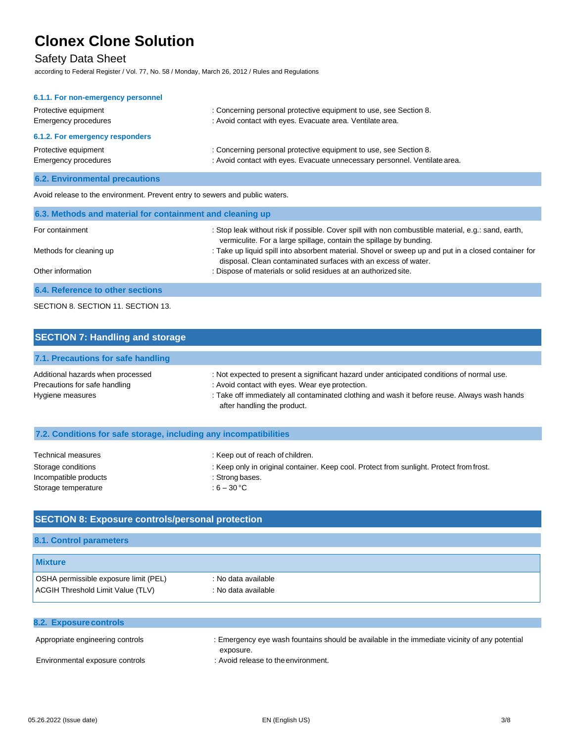### Safety Data Sheet

according to Federal Register / Vol. 77, No. 58 / Monday, March 26, 2012 / Rules and Regulations

| 6.1.1. For non-emergency personnel           |                                                                                                                                                 |
|----------------------------------------------|-------------------------------------------------------------------------------------------------------------------------------------------------|
| Protective equipment<br>Emergency procedures | : Concerning personal protective equipment to use, see Section 8.<br>: Avoid contact with eyes. Evacuate area. Ventilate area.                  |
| 6.1.2. For emergency responders              |                                                                                                                                                 |
| Protective equipment<br>Emergency procedures | : Concerning personal protective equipment to use, see Section 8.<br>: Avoid contact with eyes. Evacuate unnecessary personnel. Ventilate area. |
|                                              |                                                                                                                                                 |

#### **6.2. Environmental precautions**

Avoid release to the environment. Prevent entry to sewers and public waters.

| 6.3. Methods and material for containment and cleaning up |                                                                                                                                                                            |  |
|-----------------------------------------------------------|----------------------------------------------------------------------------------------------------------------------------------------------------------------------------|--|
| For containment                                           | : Stop leak without risk if possible. Cover spill with non combustible material, e.g.: sand, earth,<br>vermiculite. For a large spillage, contain the spillage by bunding. |  |
| Methods for cleaning up                                   | : Take up liquid spill into absorbent material. Shovel or sweep up and put in a closed container for<br>disposal. Clean contaminated surfaces with an excess of water.     |  |
| Other information                                         | : Dispose of materials or solid residues at an authorized site.                                                                                                            |  |
| 6.4. Reference to other sections                          |                                                                                                                                                                            |  |

#### SECTION 8. SECTION 11. SECTION 13.

| <b>SECTION 7: Handling and storage</b>                                                 |                                                                                                                                                                                                                                                                              |
|----------------------------------------------------------------------------------------|------------------------------------------------------------------------------------------------------------------------------------------------------------------------------------------------------------------------------------------------------------------------------|
| 7.1. Precautions for safe handling                                                     |                                                                                                                                                                                                                                                                              |
| Additional hazards when processed<br>Precautions for safe handling<br>Hygiene measures | : Not expected to present a significant hazard under anticipated conditions of normal use.<br>: Avoid contact with eyes. Wear eye protection.<br>: Take off immediately all contaminated clothing and wash it before reuse. Always wash hands<br>after handling the product. |

#### **7.2. Conditions for safe storage, including any incompatibilities**

| Technical measures    | : Keep out of reach of children.                                                         |
|-----------------------|------------------------------------------------------------------------------------------|
| Storage conditions    | : Keep only in original container. Keep cool. Protect from sunlight. Protect from frost. |
| Incompatible products | : Strong bases.                                                                          |
| Storage temperature   | : 6 – 30 °C                                                                              |

#### **SECTION 8: Exposure controls/personal protection**

#### **8.1. Control parameters**

| <b>Mixture</b>                        |                     |  |
|---------------------------------------|---------------------|--|
| OSHA permissible exposure limit (PEL) | : No data available |  |
| ACGIH Threshold Limit Value (TLV)     | : No data available |  |

| <b>8.2. Exposure controls</b>    |                                                                                               |
|----------------------------------|-----------------------------------------------------------------------------------------------|
| Appropriate engineering controls | : Emergency eye wash fountains should be available in the immediate vicinity of any potential |
|                                  | exposure.                                                                                     |
| Environmental exposure controls  | : Avoid release to the environment.                                                           |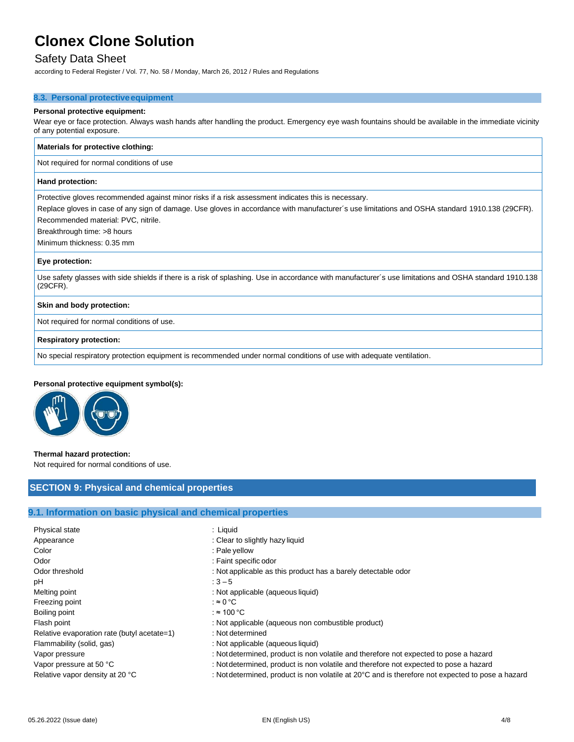### Safety Data Sheet

according to Federal Register / Vol. 77, No. 58 / Monday, March 26, 2012 / Rules and Regulations

#### **8.3. Personal protectiveequipment**

#### **Personal protective equipment:**

Wear eye or face protection. Always wash hands after handling the product. Emergency eye wash fountains should be available in the immediate vicinity of any potential exposure.

| Materials for protective clothing:                                                                                                                                 |
|--------------------------------------------------------------------------------------------------------------------------------------------------------------------|
| Not required for normal conditions of use                                                                                                                          |
| Hand protection:                                                                                                                                                   |
| Protective gloves recommended against minor risks if a risk assessment indicates this is necessary.                                                                |
| Replace gloves in case of any sign of damage. Use gloves in accordance with manufacturer's use limitations and OSHA standard 1910.138 (29CFR).                     |
| Recommended material: PVC, nitrile.                                                                                                                                |
| Breakthrough time: >8 hours                                                                                                                                        |
| Minimum thickness: 0.35 mm                                                                                                                                         |
| Eye protection:                                                                                                                                                    |
| Use safety glasses with side shields if there is a risk of splashing. Use in accordance with manufacturer's use limitations and OSHA standard 1910.138<br>(29CFR). |
| Skin and body protection:                                                                                                                                          |
| Not required for normal conditions of use.                                                                                                                         |
| <b>Respiratory protection:</b>                                                                                                                                     |
| No special respiratory protection equipment is recommended under normal conditions of use with adequate ventilation.                                               |

#### **Personal protective equipment symbol(s):**



#### **Thermal hazard protection:**

Not required for normal conditions of use.

#### **SECTION 9: Physical and chemical properties**

#### **9.1. Information on basic physical and chemical properties**

| Physical state                              | : Liquid                                                                                         |
|---------------------------------------------|--------------------------------------------------------------------------------------------------|
| Appearance                                  | : Clear to slightly hazy liquid                                                                  |
| Color                                       | : Pale yellow                                                                                    |
| Odor                                        | : Faint specific odor                                                                            |
| Odor threshold                              | : Not applicable as this product has a barely detectable odor                                    |
| рH                                          | $:3 - 5$                                                                                         |
| Melting point                               | : Not applicable (aqueous liquid)                                                                |
| Freezing point                              | : $\approx 0^{\circ}$ C                                                                          |
| Boiling point                               | : ≈ 100 °C                                                                                       |
| Flash point                                 | : Not applicable (aqueous non combustible product)                                               |
| Relative evaporation rate (butyl acetate=1) | : Not determined                                                                                 |
| Flammability (solid, gas)                   | : Not applicable (aqueous liquid)                                                                |
| Vapor pressure                              | : Not determined, product is non volatile and therefore not expected to pose a hazard            |
| Vapor pressure at 50 °C                     | : Not determined, product is non volatile and therefore not expected to pose a hazard            |
| Relative vapor density at 20 °C             | : Not determined, product is non volatile at 20°C and is therefore not expected to pose a hazard |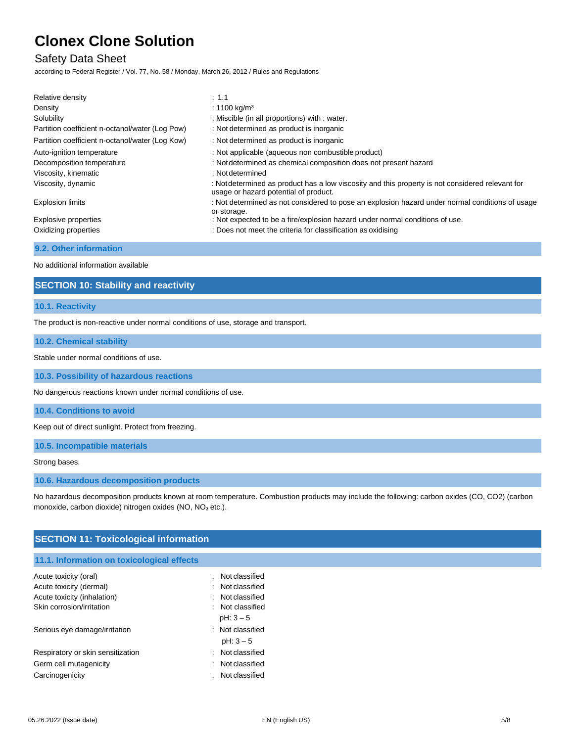### Safety Data Sheet

according to Federal Register / Vol. 77, No. 58 / Monday, March 26, 2012 / Rules and Regulations

| Relative density                                | $\therefore$ 1.1                                                                                                                          |
|-------------------------------------------------|-------------------------------------------------------------------------------------------------------------------------------------------|
| Density                                         | : 1100 kg/m <sup>3</sup>                                                                                                                  |
| Solubility                                      | : Miscible (in all proportions) with : water.                                                                                             |
| Partition coefficient n-octanol/water (Log Pow) | : Not determined as product is inorganic                                                                                                  |
| Partition coefficient n-octanol/water (Log Kow) | : Not determined as product is inorganic                                                                                                  |
| Auto-ignition temperature                       | : Not applicable (aqueous non combustible product)                                                                                        |
| Decomposition temperature                       | : Not determined as chemical composition does not present hazard                                                                          |
| Viscosity, kinematic                            | : Not determined                                                                                                                          |
| Viscosity, dynamic                              | : Not determined as product has a low viscosity and this property is not considered relevant for<br>usage or hazard potential of product. |
| <b>Explosion limits</b>                         | : Not determined as not considered to pose an explosion hazard under normal conditions of usage<br>or storage.                            |
| Explosive properties                            | : Not expected to be a fire/explosion hazard under normal conditions of use.                                                              |
| Oxidizing properties                            | : Does not meet the criteria for classification as oxidising                                                                              |

#### **9.2. Other information**

No additional information available

### **SECTION 10: Stability and reactivity**

#### **10.1. Reactivity**

The product is non-reactive under normal conditions of use, storage and transport.

#### **10.2. Chemical stability**

Stable under normal conditions of use.

**10.3. Possibility of hazardous reactions**

No dangerous reactions known under normal conditions of use.

**10.4. Conditions to avoid**

Keep out of direct sunlight. Protect from freezing.

**10.5. Incompatible materials**

Strong bases.

#### **10.6. Hazardous decomposition products**

No hazardous decomposition products known at room temperature. Combustion products may include the following: carbon oxides (CO, CO2) (carbon monoxide, carbon dioxide) nitrogen oxides (NO, NO₂ etc.).

#### **SECTION 11: Toxicological information**

#### **11.1. Information on toxicological effects**

| Acute toxicity (oral)             | $\therefore$ Not classified |
|-----------------------------------|-----------------------------|
| Acute toxicity (dermal)           | $:$ Not classified          |
| Acute toxicity (inhalation)       | Not classified              |
| Skin corrosion/irritation         | : Not classified            |
|                                   | $pH: 3-5$                   |
| Serious eye damage/irritation     | : Not classified            |
|                                   | $pH: 3 - 5$                 |
| Respiratory or skin sensitization | Not classified<br>٠.        |
| Germ cell mutagenicity            | : Not classified            |
| Carcinogenicity                   | $:$ Not classified          |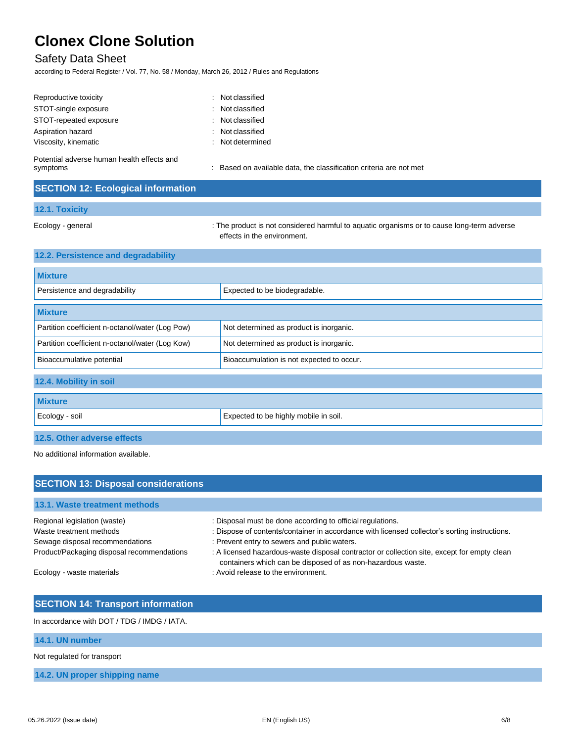# Safety Data Sheet

according to Federal Register / Vol. 77, No. 58 / Monday, March 26, 2012 / Rules and Regulations

| : Not classified |
|------------------|
| : Not classified |
|                  |
| : Not classified |
| : Not classified |
| : Not determined |
|                  |

Potential adverse human health effects and

symptoms **in a symptoms** : Based on available data, the classification criteria are not met

### **SECTION 12: Ecological information**

#### **12.1. Toxicity**

Ecology - general states of the product is not considered harmful to aquatic organisms or to cause long-term adverse effects in the environment.

| 12.2. Persistence and degradability             |                                           |
|-------------------------------------------------|-------------------------------------------|
| <b>Mixture</b>                                  |                                           |
| Persistence and degradability                   | Expected to be biodegradable.             |
| <b>Mixture</b>                                  |                                           |
| Partition coefficient n-octanol/water (Log Pow) | Not determined as product is inorganic.   |
| Partition coefficient n-octanol/water (Log Kow) | Not determined as product is inorganic.   |
| Bioaccumulative potential                       | Bioaccumulation is not expected to occur. |
| 12.4. Mobility in soil                          |                                           |
| <b>Mixture</b>                                  |                                           |
| Ecology - soil                                  | Expected to be highly mobile in soil.     |
| 12.5. Other adverse effects                     |                                           |

No additional information available.

| <b>SECTION 13: Disposal considerations</b> |                                                                                                                                                            |  |  |
|--------------------------------------------|------------------------------------------------------------------------------------------------------------------------------------------------------------|--|--|
| 13.1. Waste treatment methods              |                                                                                                                                                            |  |  |
| Regional legislation (waste)               | : Disposal must be done according to official regulations.                                                                                                 |  |  |
| Waste treatment methods                    | : Dispose of contents/container in accordance with licensed collector's sorting instructions.                                                              |  |  |
| Sewage disposal recommendations            | : Prevent entry to sewers and public waters.                                                                                                               |  |  |
| Product/Packaging disposal recommendations | : A licensed hazardous-waste disposal contractor or collection site, except for empty clean<br>containers which can be disposed of as non-hazardous waste. |  |  |
| Ecology - waste materials                  | : Avoid release to the environment.                                                                                                                        |  |  |

### **SECTION 14: Transport information**

In accordance with DOT / TDG / IMDG / IATA.

#### **14.1. UN number**

Not regulated for transport

**14.2. UN proper shipping name**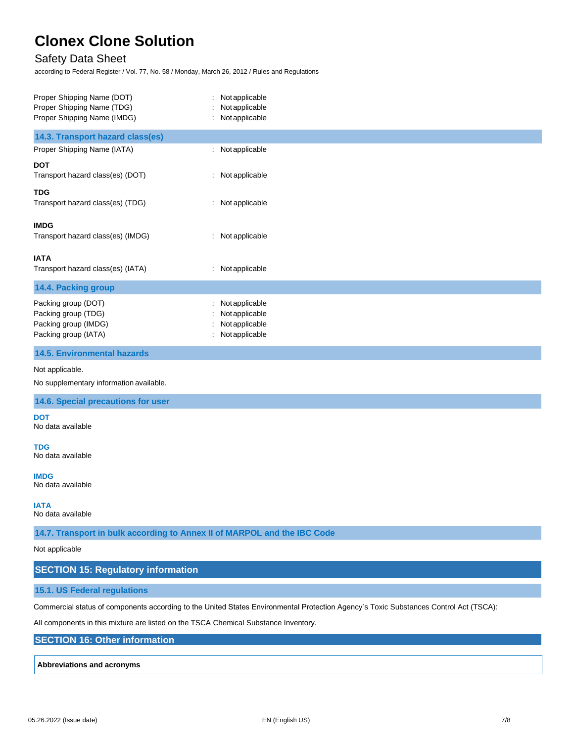### Safety Data Sheet

according to Federal Register / Vol. 77, No. 58 / Monday, March 26, 2012 / Rules and Regulations

| Proper Shipping Name (DOT)                                               | : Not applicable |  |
|--------------------------------------------------------------------------|------------------|--|
| Proper Shipping Name (TDG)                                               | Not applicable   |  |
| Proper Shipping Name (IMDG)                                              | : Not applicable |  |
| 14.3. Transport hazard class(es)                                         |                  |  |
| Proper Shipping Name (IATA)                                              | : Not applicable |  |
| DOT                                                                      |                  |  |
| Transport hazard class(es) (DOT)                                         | : Not applicable |  |
| TDG                                                                      |                  |  |
| Transport hazard class(es) (TDG)                                         | : Not applicable |  |
| IMDG                                                                     |                  |  |
| Transport hazard class(es) (IMDG)                                        | : Not applicable |  |
|                                                                          |                  |  |
| IATA                                                                     |                  |  |
| Transport hazard class(es) (IATA)                                        | : Not applicable |  |
| 14.4. Packing group                                                      |                  |  |
| Packing group (DOT)                                                      | : Not applicable |  |
| Packing group (TDG)                                                      | Not applicable   |  |
| Packing group (IMDG)                                                     | Notapplicable    |  |
| Packing group (IATA)                                                     | Not applicable   |  |
| <b>14.5. Environmental hazards</b>                                       |                  |  |
| Not applicable.                                                          |                  |  |
| No supplementary information available.                                  |                  |  |
| 14.6. Special precautions for user                                       |                  |  |
| DOT                                                                      |                  |  |
| No data available                                                        |                  |  |
| TDG                                                                      |                  |  |
| No data available                                                        |                  |  |
| <b>IMDG</b>                                                              |                  |  |
| No data available                                                        |                  |  |
|                                                                          |                  |  |
| IATA<br>No data available                                                |                  |  |
|                                                                          |                  |  |
| 14.7. Transport in bulk according to Annex II of MARPOL and the IBC Code |                  |  |
| Not applicable                                                           |                  |  |
| <b>SECTION 15: Regulatory information</b>                                |                  |  |
| 15.1. US Federal regulations                                             |                  |  |
|                                                                          |                  |  |

Commercial status of components according to the United States Environmental Protection Agency's Toxic Substances Control Act (TSCA):

All components in this mixture are listed on the TSCA Chemical Substance Inventory.

**SECTION 16: Other information**

#### **Abbreviations and acronyms**